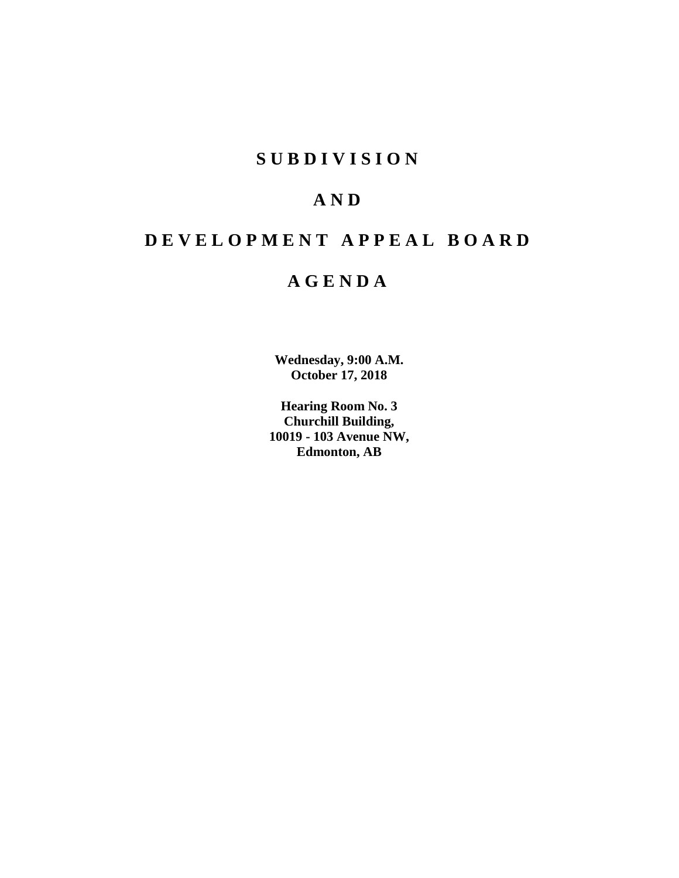## **SUBDIVISION**

# **AND**

# **DEVELOPMENT APPEAL BOARD**

## **AGENDA**

**Wednesday, 9:00 A.M. October 17, 2018**

**Hearing Room No. 3 Churchill Building, 10019 - 103 Avenue NW, Edmonton, AB**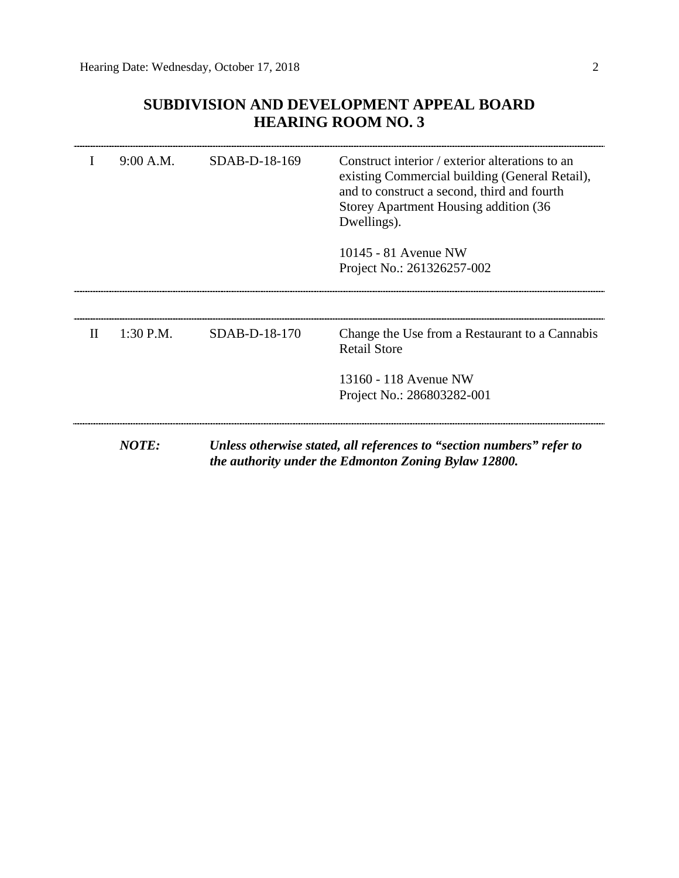## **SUBDIVISION AND DEVELOPMENT APPEAL BOARD HEARING ROOM NO. 3**

|              | 9:00 A.M.    | SDAB-D-18-169 | Construct interior / exterior alterations to an<br>existing Commercial building (General Retail),<br>and to construct a second, third and fourth<br>Storey Apartment Housing addition (36)<br>Dwellings).<br>10145 - 81 Avenue NW<br>Project No.: 261326257-002 |
|--------------|--------------|---------------|-----------------------------------------------------------------------------------------------------------------------------------------------------------------------------------------------------------------------------------------------------------------|
| $\mathbf{I}$ | $1:30$ P.M.  | SDAB-D-18-170 | Change the Use from a Restaurant to a Cannabis<br><b>Retail Store</b><br>13160 - 118 Avenue NW                                                                                                                                                                  |
|              |              |               | Project No.: 286803282-001                                                                                                                                                                                                                                      |
|              | <b>NOTE:</b> |               | Unless otherwise stated, all references to "section numbers" refer to<br>the authority under the Edmonton Zoning Bylaw 12800.                                                                                                                                   |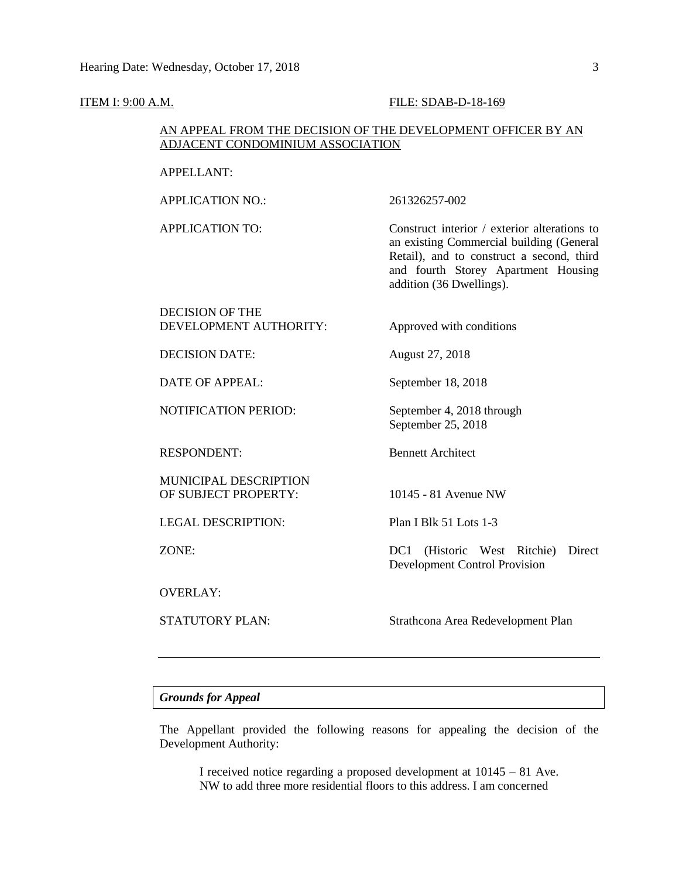#### **ITEM I: 9:00 A.M. FILE: SDAB-D-18-169**

## AN APPEAL FROM THE DECISION OF THE DEVELOPMENT OFFICER BY AN ADJACENT CONDOMINIUM ASSOCIATION

APPELLANT:

APPLICATION NO.: 261326257-002

APPLICATION TO: Construct interior / exterior alterations to an existing Commercial building (General Retail), and to construct a second, third and fourth Storey Apartment Housing addition (36 Dwellings).

DECISION OF THE DEVELOPMENT AUTHORITY: Approved with conditions

DECISION DATE: August 27, 2018

DATE OF APPEAL: September 18, 2018

NOTIFICATION PERIOD: September 4, 2018 through

RESPONDENT: Bennett Architect

MUNICIPAL DESCRIPTION OF SUBJECT PROPERTY: 10145 - 81 Avenue NW

LEGAL DESCRIPTION: Plan I Blk 51 Lots 1-3

OVERLAY:

September 25, 2018

ZONE: DC1 (Historic West Ritchie) Direct Development Control Provision

STATUTORY PLAN: Strathcona Area Redevelopment Plan

#### *Grounds for Appeal*

The Appellant provided the following reasons for appealing the decision of the Development Authority:

I received notice regarding a proposed development at 10145 – 81 Ave. NW to add three more residential floors to this address. I am concerned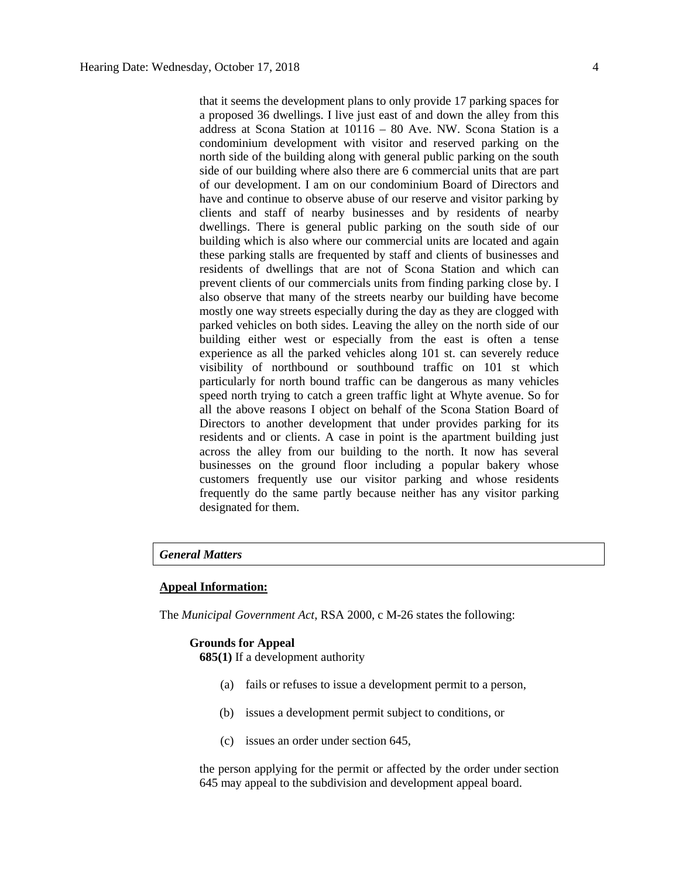that it seems the development plans to only provide 17 parking spaces for a proposed 36 dwellings. I live just east of and down the alley from this address at Scona Station at 10116 – 80 Ave. NW. Scona Station is a condominium development with visitor and reserved parking on the north side of the building along with general public parking on the south side of our building where also there are 6 commercial units that are part of our development. I am on our condominium Board of Directors and have and continue to observe abuse of our reserve and visitor parking by clients and staff of nearby businesses and by residents of nearby dwellings. There is general public parking on the south side of our building which is also where our commercial units are located and again these parking stalls are frequented by staff and clients of businesses and residents of dwellings that are not of Scona Station and which can prevent clients of our commercials units from finding parking close by. I also observe that many of the streets nearby our building have become mostly one way streets especially during the day as they are clogged with parked vehicles on both sides. Leaving the alley on the north side of our building either west or especially from the east is often a tense experience as all the parked vehicles along 101 st. can severely reduce visibility of northbound or southbound traffic on 101 st which particularly for north bound traffic can be dangerous as many vehicles speed north trying to catch a green traffic light at Whyte avenue. So for all the above reasons I object on behalf of the Scona Station Board of Directors to another development that under provides parking for its residents and or clients. A case in point is the apartment building just across the alley from our building to the north. It now has several businesses on the ground floor including a popular bakery whose customers frequently use our visitor parking and whose residents frequently do the same partly because neither has any visitor parking designated for them.

## *General Matters*

#### **Appeal Information:**

The *Municipal Government Act*, RSA 2000, c M-26 states the following:

#### **Grounds for Appeal**

**685(1)** If a development authority

- (a) fails or refuses to issue a development permit to a person,
- (b) issues a development permit subject to conditions, or
- (c) issues an order under section 645,

the person applying for the permit or affected by the order under section 645 may appeal to the subdivision and development appeal board.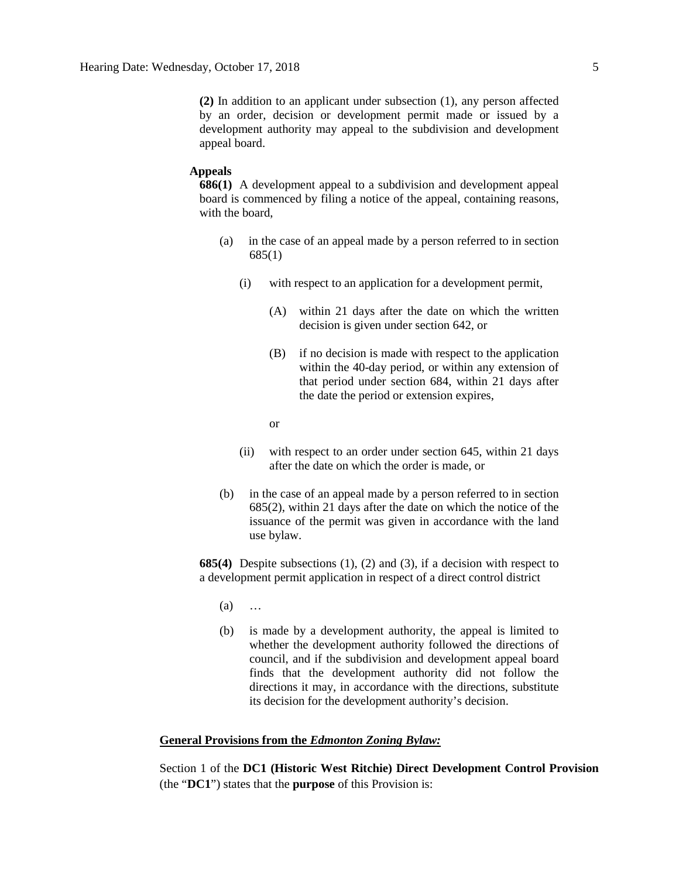**(2)** In addition to an applicant under subsection (1), any person affected by an order, decision or development permit made or issued by a development authority may appeal to the subdivision and development appeal board.

#### **Appeals**

**686(1)** A development appeal to a subdivision and development appeal board is commenced by filing a notice of the appeal, containing reasons, with the board,

- (a) in the case of an appeal made by a person referred to in section 685(1)
	- (i) with respect to an application for a development permit,
		- (A) within 21 days after the date on which the written decision is given under section 642, or
		- (B) if no decision is made with respect to the application within the 40-day period, or within any extension of that period under section 684, within 21 days after the date the period or extension expires,
		- or
	- (ii) with respect to an order under section 645, within 21 days after the date on which the order is made, or
- (b) in the case of an appeal made by a person referred to in section 685(2), within 21 days after the date on which the notice of the issuance of the permit was given in accordance with the land use bylaw.

**685(4)** Despite subsections (1), (2) and (3), if a decision with respect to a development permit application in respect of a direct control district

- (a) …
- (b) is made by a development authority, the appeal is limited to whether the development authority followed the directions of council, and if the subdivision and development appeal board finds that the development authority did not follow the directions it may, in accordance with the directions, substitute its decision for the development authority's decision.

## **General Provisions from the** *Edmonton Zoning Bylaw:*

Section 1 of the **DC1 (Historic West Ritchie) Direct Development Control Provision** (the "**DC1**") states that the **purpose** of this Provision is: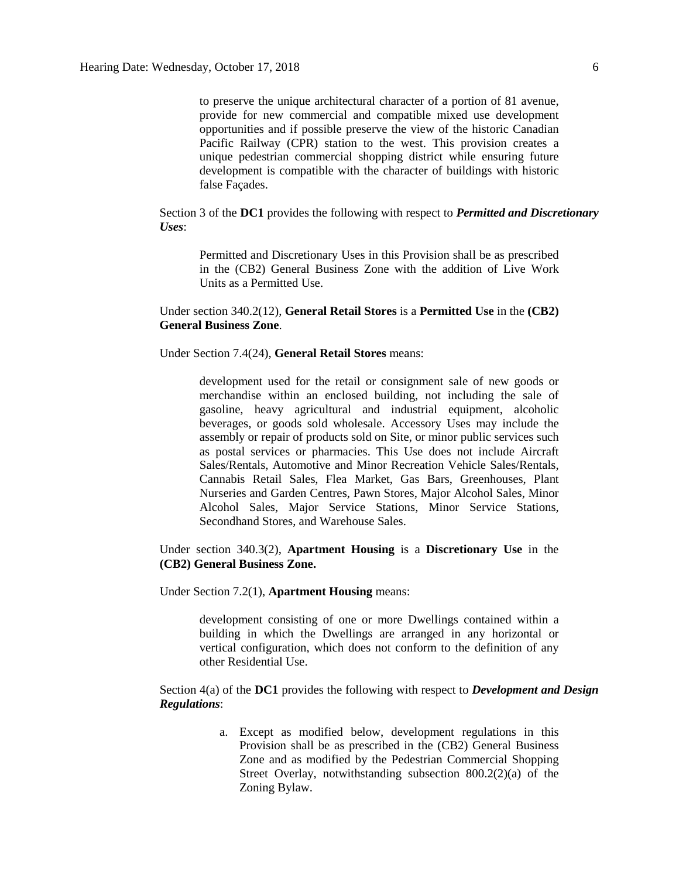to preserve the unique architectural character of a portion of 81 avenue, provide for new commercial and compatible mixed use development opportunities and if possible preserve the view of the historic Canadian Pacific Railway (CPR) station to the west. This provision creates a unique pedestrian commercial shopping district while ensuring future development is compatible with the character of buildings with historic false Façades.

Section 3 of the **DC1** provides the following with respect to *Permitted and Discretionary Uses*:

Permitted and Discretionary Uses in this Provision shall be as prescribed in the (CB2) General Business Zone with the addition of Live Work Units as a Permitted Use.

Under section 340.2(12), **General Retail Stores** is a **Permitted Use** in the **(CB2) General Business Zone**.

Under Section 7.4(24), **General Retail Stores** means:

development used for the retail or consignment sale of new goods or merchandise within an enclosed building, not including the sale of gasoline, heavy agricultural and industrial equipment, alcoholic beverages, or goods sold wholesale. Accessory Uses may include the assembly or repair of products sold on Site, or minor public services such as postal services or pharmacies. This Use does not include Aircraft Sales/Rentals, Automotive and Minor Recreation Vehicle Sales/Rentals, Cannabis Retail Sales, Flea Market, Gas Bars, Greenhouses, Plant Nurseries and Garden Centres, Pawn Stores, Major Alcohol Sales, Minor Alcohol Sales, Major Service Stations, Minor Service Stations, Secondhand Stores, and Warehouse Sales.

Under section 340.3(2), **Apartment Housing** is a **Discretionary Use** in the **(CB2) General Business Zone.**

Under Section 7.2(1), **Apartment Housing** means:

development consisting of one or more Dwellings contained within a building in which the Dwellings are arranged in any horizontal or vertical configuration, which does not conform to the definition of any other Residential Use.

Section 4(a) of the **DC1** provides the following with respect to *Development and Design Regulations*:

> a. Except as modified below, development regulations in this Provision shall be as prescribed in the (CB2) General Business Zone and as modified by the Pedestrian Commercial Shopping Street Overlay, notwithstanding subsection 800.2(2)(a) of the Zoning Bylaw.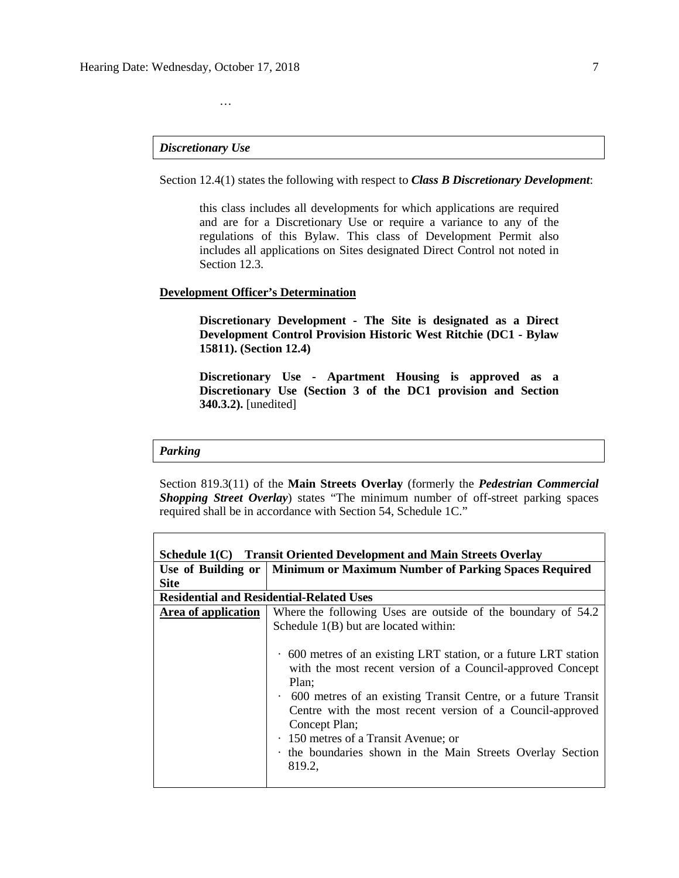## *Discretionary Use*

…

Section 12.4(1) states the following with respect to *Class B Discretionary Development*:

this class includes all developments for which applications are required and are for a Discretionary Use or require a variance to any of the regulations of this Bylaw. This class of Development Permit also includes all applications on Sites designated Direct Control not noted in Section 12.3.

### **Development Officer's Determination**

**Discretionary Development - The Site is designated as a Direct Development Control Provision Historic West Ritchie (DC1 - Bylaw 15811). (Section 12.4)**

**Discretionary Use - Apartment Housing is approved as a Discretionary Use (Section 3 of the DC1 provision and Section 340.3.2).** [unedited]

#### *Parking*

Section 819.3(11) of the **Main Streets Overlay** (formerly the *Pedestrian Commercial Shopping Street Overlay*) states "The minimum number of off-street parking spaces required shall be in accordance with Section 54, Schedule 1C."

| Schedule 1(C) Transit Oriented Development and Main Streets Overlay |                                                                           |  |  |  |  |
|---------------------------------------------------------------------|---------------------------------------------------------------------------|--|--|--|--|
|                                                                     | Use of Building or   Minimum or Maximum Number of Parking Spaces Required |  |  |  |  |
| <b>Site</b>                                                         |                                                                           |  |  |  |  |
|                                                                     | <b>Residential and Residential-Related Uses</b>                           |  |  |  |  |
| Area of application                                                 | Where the following Uses are outside of the boundary of 54.2              |  |  |  |  |
|                                                                     | Schedule $1(B)$ but are located within:                                   |  |  |  |  |
|                                                                     |                                                                           |  |  |  |  |
|                                                                     | . 600 metres of an existing LRT station, or a future LRT station          |  |  |  |  |
|                                                                     | with the most recent version of a Council-approved Concept                |  |  |  |  |
|                                                                     | Plan;                                                                     |  |  |  |  |
|                                                                     | • 600 metres of an existing Transit Centre, or a future Transit           |  |  |  |  |
|                                                                     | Centre with the most recent version of a Council-approved                 |  |  |  |  |
|                                                                     | Concept Plan;                                                             |  |  |  |  |
|                                                                     | · 150 metres of a Transit Avenue; or                                      |  |  |  |  |
|                                                                     | the boundaries shown in the Main Streets Overlay Section                  |  |  |  |  |
|                                                                     | 819.2,                                                                    |  |  |  |  |
|                                                                     |                                                                           |  |  |  |  |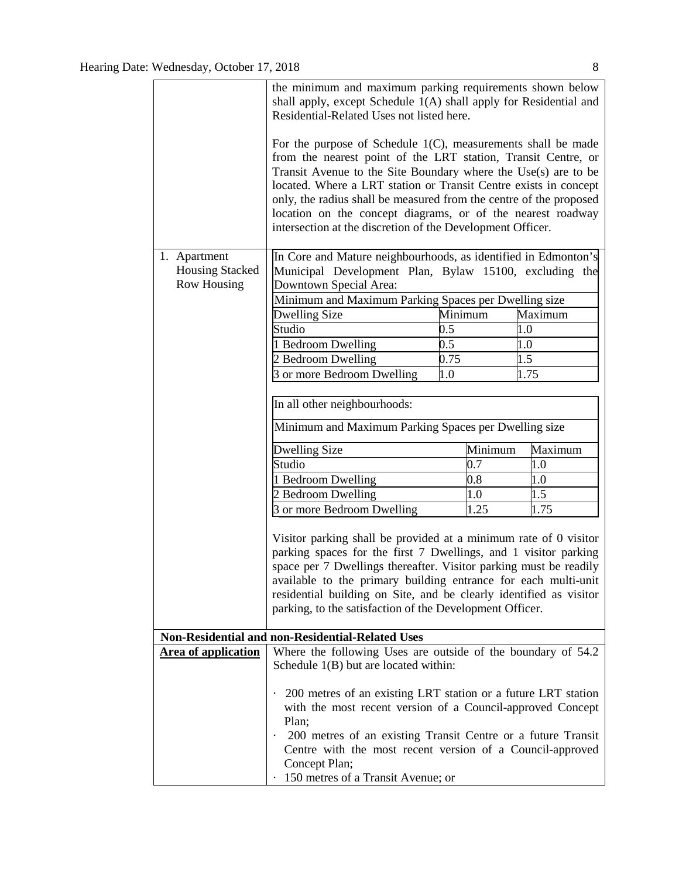|                                        | the minimum and maximum parking requirements shown below<br>shall apply, except Schedule 1(A) shall apply for Residential and<br>Residential-Related Uses not listed here.                                                                                                                                                                                                                                                                                                |                    |                |  |  |  |
|----------------------------------------|---------------------------------------------------------------------------------------------------------------------------------------------------------------------------------------------------------------------------------------------------------------------------------------------------------------------------------------------------------------------------------------------------------------------------------------------------------------------------|--------------------|----------------|--|--|--|
|                                        | For the purpose of Schedule $1(C)$ , measurements shall be made<br>from the nearest point of the LRT station, Transit Centre, or<br>Transit Avenue to the Site Boundary where the Use(s) are to be<br>located. Where a LRT station or Transit Centre exists in concept<br>only, the radius shall be measured from the centre of the proposed<br>location on the concept diagrams, or of the nearest roadway<br>intersection at the discretion of the Development Officer. |                    |                |  |  |  |
| 1. Apartment<br><b>Housing Stacked</b> | In Core and Mature neighbourhoods, as identified in Edmonton's<br>Municipal Development Plan, Bylaw 15100, excluding the                                                                                                                                                                                                                                                                                                                                                  |                    |                |  |  |  |
| <b>Row Housing</b>                     | Downtown Special Area:                                                                                                                                                                                                                                                                                                                                                                                                                                                    |                    |                |  |  |  |
|                                        | Minimum and Maximum Parking Spaces per Dwelling size                                                                                                                                                                                                                                                                                                                                                                                                                      |                    |                |  |  |  |
|                                        | <b>Dwelling Size</b>                                                                                                                                                                                                                                                                                                                                                                                                                                                      | Minimum            | Maximum        |  |  |  |
|                                        | Studio<br>1 Bedroom Dwelling                                                                                                                                                                                                                                                                                                                                                                                                                                              | $0.5\,$<br>$0.5\,$ | 1.0            |  |  |  |
|                                        | 2 Bedroom Dwelling                                                                                                                                                                                                                                                                                                                                                                                                                                                        | 0.75               | $1.0\,$<br>1.5 |  |  |  |
|                                        | 3 or more Bedroom Dwelling                                                                                                                                                                                                                                                                                                                                                                                                                                                | 1.0                | 1.75           |  |  |  |
|                                        |                                                                                                                                                                                                                                                                                                                                                                                                                                                                           |                    |                |  |  |  |
|                                        | In all other neighbourhoods:                                                                                                                                                                                                                                                                                                                                                                                                                                              |                    |                |  |  |  |
|                                        | Minimum and Maximum Parking Spaces per Dwelling size                                                                                                                                                                                                                                                                                                                                                                                                                      |                    |                |  |  |  |
|                                        | <b>Dwelling Size</b>                                                                                                                                                                                                                                                                                                                                                                                                                                                      | Minimum            | Maximum        |  |  |  |
|                                        | Studio                                                                                                                                                                                                                                                                                                                                                                                                                                                                    | 0.7                | 1.0            |  |  |  |
|                                        | 1 Bedroom Dwelling                                                                                                                                                                                                                                                                                                                                                                                                                                                        | 0.8                | 1.0            |  |  |  |
|                                        | 2 Bedroom Dwelling                                                                                                                                                                                                                                                                                                                                                                                                                                                        | 1.0                | 1.5            |  |  |  |
|                                        | 3 or more Bedroom Dwelling                                                                                                                                                                                                                                                                                                                                                                                                                                                | 1.25               | 1.75           |  |  |  |
|                                        | Visitor parking shall be provided at a minimum rate of 0 visitor<br>parking spaces for the first 7 Dwellings, and 1 visitor parking<br>space per 7 Dwellings thereafter. Visitor parking must be readily<br>available to the primary building entrance for each multi-unit<br>residential building on Site, and be clearly identified as visitor<br>parking, to the satisfaction of the Development Officer.                                                              |                    |                |  |  |  |
|                                        | Non-Residential and non-Residential-Related Uses                                                                                                                                                                                                                                                                                                                                                                                                                          |                    |                |  |  |  |
| Area of application                    | Where the following Uses are outside of the boundary of 54.2<br>Schedule 1(B) but are located within:                                                                                                                                                                                                                                                                                                                                                                     |                    |                |  |  |  |
|                                        | 200 metres of an existing LRT station or a future LRT station<br>with the most recent version of a Council-approved Concept<br>Plan;                                                                                                                                                                                                                                                                                                                                      |                    |                |  |  |  |
|                                        | 200 metres of an existing Transit Centre or a future Transit<br>$\bullet$<br>Centre with the most recent version of a Council-approved<br>Concept Plan;                                                                                                                                                                                                                                                                                                                   |                    |                |  |  |  |
|                                        | 150 metres of a Transit Avenue; or                                                                                                                                                                                                                                                                                                                                                                                                                                        |                    |                |  |  |  |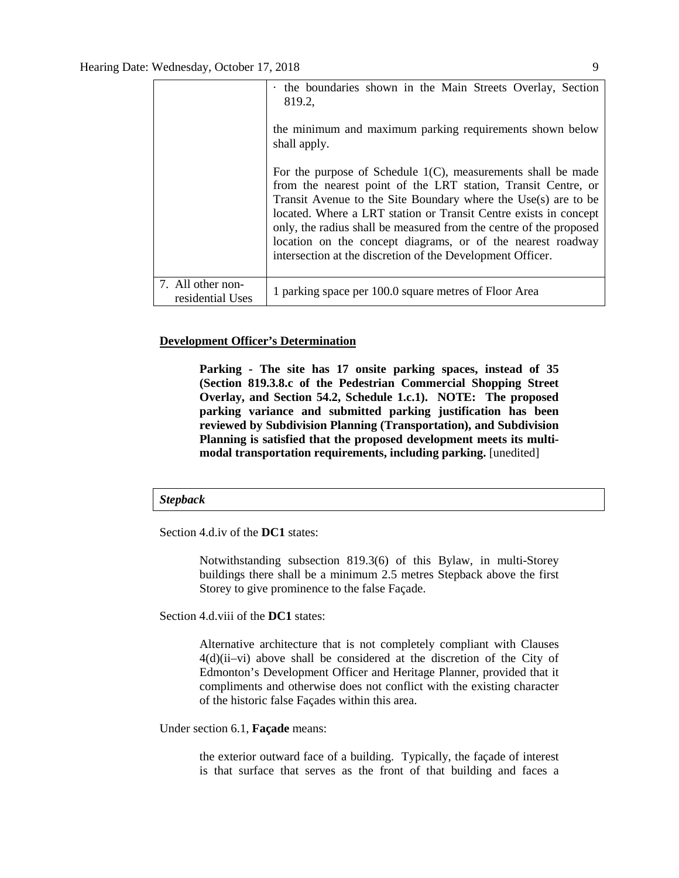|                                       | the boundaries shown in the Main Streets Overlay, Section<br>819.2,                                                                                                                                                                                                                                                                                                                                                                                                       |
|---------------------------------------|---------------------------------------------------------------------------------------------------------------------------------------------------------------------------------------------------------------------------------------------------------------------------------------------------------------------------------------------------------------------------------------------------------------------------------------------------------------------------|
|                                       | the minimum and maximum parking requirements shown below<br>shall apply.                                                                                                                                                                                                                                                                                                                                                                                                  |
|                                       | For the purpose of Schedule $1(C)$ , measurements shall be made<br>from the nearest point of the LRT station, Transit Centre, or<br>Transit Avenue to the Site Boundary where the Use(s) are to be<br>located. Where a LRT station or Transit Centre exists in concept<br>only, the radius shall be measured from the centre of the proposed<br>location on the concept diagrams, or of the nearest roadway<br>intersection at the discretion of the Development Officer. |
| 7. All other non-<br>residential Uses | 1 parking space per 100.0 square metres of Floor Area                                                                                                                                                                                                                                                                                                                                                                                                                     |

## **Development Officer's Determination**

**Parking - The site has 17 onsite parking spaces, instead of 35 (Section 819.3.8.c of the Pedestrian Commercial Shopping Street Overlay, and Section 54.2, Schedule 1.c.1). NOTE: The proposed parking variance and submitted parking justification has been reviewed by Subdivision Planning (Transportation), and Subdivision Planning is satisfied that the proposed development meets its multimodal transportation requirements, including parking.** [unedited]

#### *Stepback*

Section 4.d.iv of the **DC1** states:

Notwithstanding subsection 819.3(6) of this Bylaw, in multi-Storey buildings there shall be a minimum 2.5 metres Stepback above the first Storey to give prominence to the false Façade.

Section 4.d.viii of the **DC1** states:

Alternative architecture that is not completely compliant with Clauses 4(d)(ii–vi) above shall be considered at the discretion of the City of Edmonton's Development Officer and Heritage Planner, provided that it compliments and otherwise does not conflict with the existing character of the historic false Façades within this area.

Under section 6.1, **Façade** means:

the exterior outward face of a building. Typically, the façade of interest is that surface that serves as the front of that building and faces a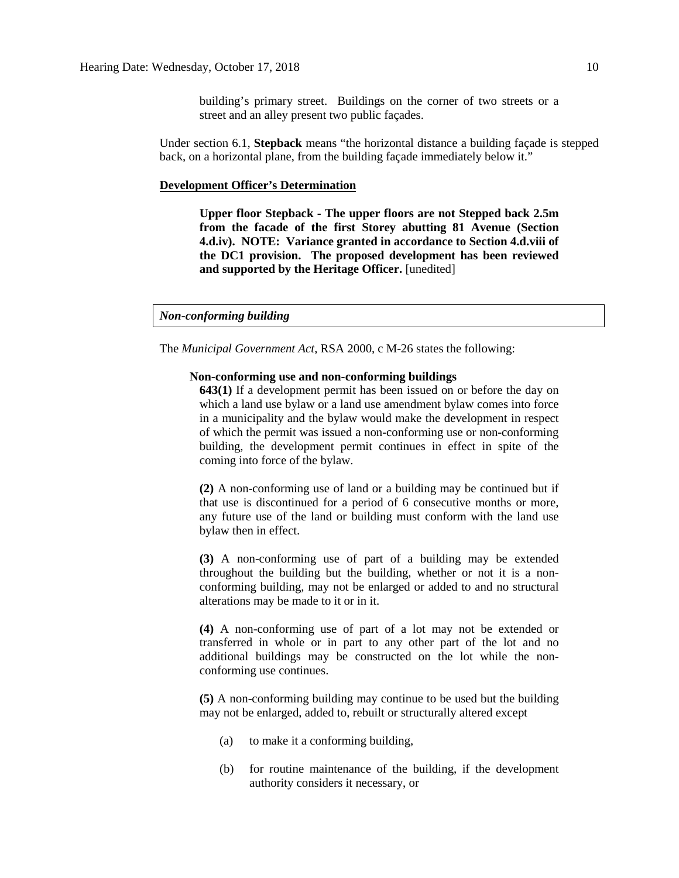building's primary street. Buildings on the corner of two streets or a street and an alley present two public façades.

Under section 6.1, **Stepback** means "the horizontal distance a building façade is stepped back, on a horizontal plane, from the building façade immediately below it."

#### **Development Officer's Determination**

**Upper floor Stepback - The upper floors are not Stepped back 2.5m from the facade of the first Storey abutting 81 Avenue (Section 4.d.iv). NOTE: Variance granted in accordance to Section 4.d.viii of the DC1 provision. The proposed development has been reviewed and supported by the Heritage Officer.** [unedited]

*Non-conforming building*

The *Municipal Government Act*, RSA 2000, c M-26 states the following:

#### **Non-conforming use and non-conforming buildings**

**643(1)** If a development permit has been issued on or before the day on which a land use bylaw or a land use amendment bylaw comes into force in a municipality and the bylaw would make the development in respect of which the permit was issued a non-conforming use or non-conforming building, the development permit continues in effect in spite of the coming into force of the bylaw.

**(2)** A non-conforming use of land or a building may be continued but if that use is discontinued for a period of 6 consecutive months or more, any future use of the land or building must conform with the land use bylaw then in effect.

**(3)** A non-conforming use of part of a building may be extended throughout the building but the building, whether or not it is a nonconforming building, may not be enlarged or added to and no structural alterations may be made to it or in it.

**(4)** A non-conforming use of part of a lot may not be extended or transferred in whole or in part to any other part of the lot and no additional buildings may be constructed on the lot while the nonconforming use continues.

**(5)** A non-conforming building may continue to be used but the building may not be enlarged, added to, rebuilt or structurally altered except

- (a) to make it a conforming building,
- (b) for routine maintenance of the building, if the development authority considers it necessary, or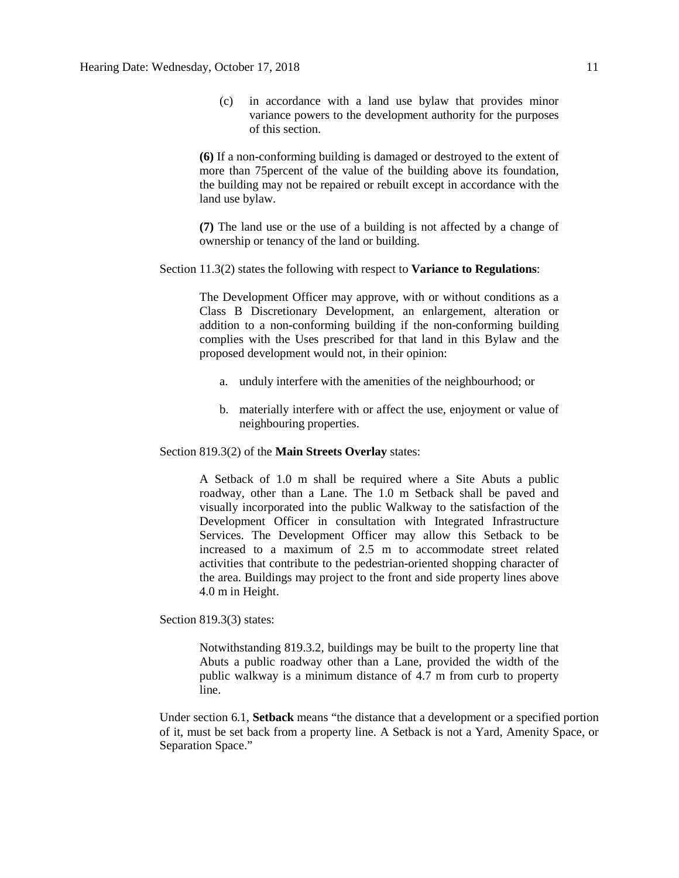(c) in accordance with a land use bylaw that provides minor variance powers to the development authority for the purposes of this section.

**(6)** If a non-conforming building is damaged or destroyed to the extent of more than 75percent of the value of the building above its foundation, the building may not be repaired or rebuilt except in accordance with the land use bylaw.

**(7)** The land use or the use of a building is not affected by a change of ownership or tenancy of the land or building.

### Section 11.3(2) states the following with respect to **Variance to Regulations**:

The Development Officer may approve, with or without conditions as a Class B Discretionary Development, an enlargement, alteration or addition to a non-conforming building if the non-conforming building complies with the Uses prescribed for that land in this Bylaw and the proposed development would not, in their opinion:

- a. unduly interfere with the amenities of the neighbourhood; or
- b. materially interfere with or affect the use, enjoyment or value of neighbouring properties.

Section 819.3(2) of the **Main Streets Overlay** states:

A Setback of 1.0 m shall be required where a Site Abuts a public roadway, other than a Lane. The 1.0 m Setback shall be paved and visually incorporated into the public Walkway to the satisfaction of the Development Officer in consultation with Integrated Infrastructure Services. The Development Officer may allow this Setback to be increased to a maximum of 2.5 m to accommodate street related activities that contribute to the pedestrian-oriented shopping character of the area. Buildings may project to the front and side property lines above 4.0 m in Height.

Section 819.3(3) states:

Notwithstanding 819.3.2, buildings may be built to the property line that Abuts a public roadway other than a Lane, provided the width of the public walkway is a minimum distance of 4.7 m from curb to property line.

Under section 6.1, **Setback** means "the distance that a development or a specified portion of it, must be set back from a property line. A Setback is not a Yard, Amenity Space, or Separation Space."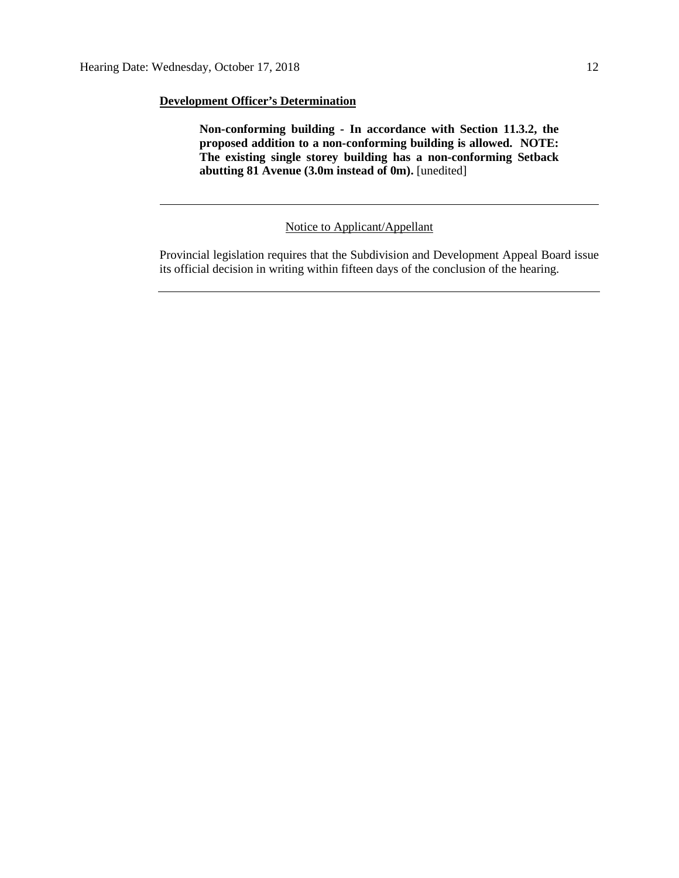## **Development Officer's Determination**

**Non-conforming building - In accordance with Section 11.3.2, the proposed addition to a non-conforming building is allowed. NOTE: The existing single storey building has a non-conforming Setback abutting 81 Avenue (3.0m instead of 0m).** [unedited]

Notice to Applicant/Appellant

Provincial legislation requires that the Subdivision and Development Appeal Board issue its official decision in writing within fifteen days of the conclusion of the hearing.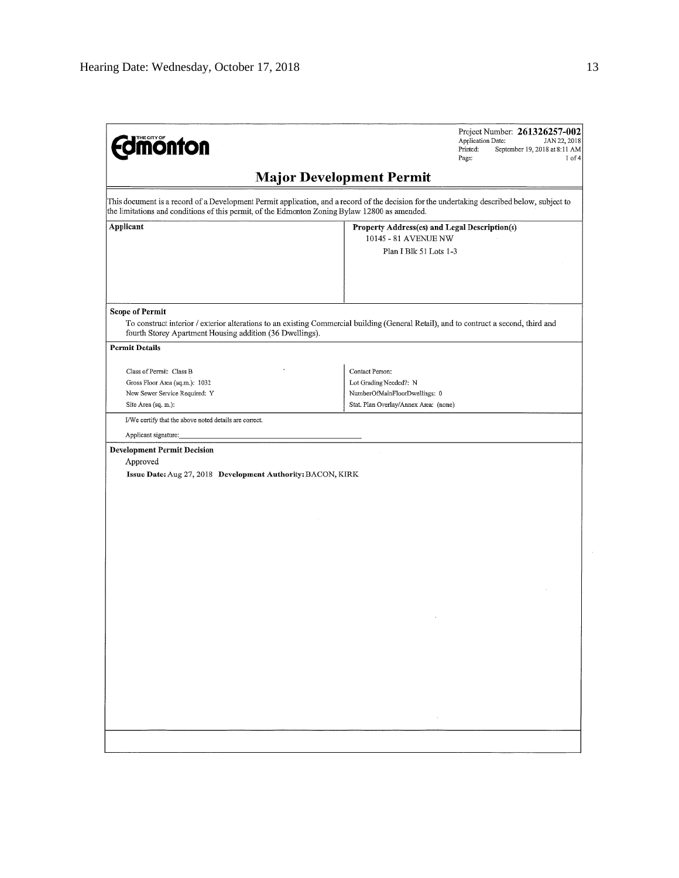| <b>monton</b>                                                                                                                                                                                                                                | Project Number: 261326257-002<br>Application Date:<br>JAN 22, 2018<br>Printed:<br>September 19, 2018 at 8:11 AM<br>Page:<br>$1$ of $4$ |  |  |  |  |
|----------------------------------------------------------------------------------------------------------------------------------------------------------------------------------------------------------------------------------------------|----------------------------------------------------------------------------------------------------------------------------------------|--|--|--|--|
|                                                                                                                                                                                                                                              | <b>Major Development Permit</b>                                                                                                        |  |  |  |  |
| This document is a record of a Development Permit application, and a record of the decision for the undertaking described below, subject to<br>the limitations and conditions of this permit, of the Edmonton Zoning Bylaw 12800 as amended. |                                                                                                                                        |  |  |  |  |
| Applicant                                                                                                                                                                                                                                    | Property Address(es) and Legal Description(s)<br>10145 - 81 AVENUE NW                                                                  |  |  |  |  |
|                                                                                                                                                                                                                                              | Plan I Blk 51 Lots 1-3                                                                                                                 |  |  |  |  |
|                                                                                                                                                                                                                                              |                                                                                                                                        |  |  |  |  |
| <b>Scope of Permit</b><br>To construct interior / exterior alterations to an existing Commercial building (General Retail), and to contruct a second, third and<br>fourth Storey Apartment Housing addition (36 Dwellings).                  |                                                                                                                                        |  |  |  |  |
| <b>Permit Details</b>                                                                                                                                                                                                                        |                                                                                                                                        |  |  |  |  |
| Class of Permit: Class B                                                                                                                                                                                                                     | Contact Person:                                                                                                                        |  |  |  |  |
| Gross Floor Area (sq.m.): 1032                                                                                                                                                                                                               | Lot Grading Needed?: N                                                                                                                 |  |  |  |  |
| New Sewer Service Required: Y<br>Site Area (sq. m.):                                                                                                                                                                                         | NumberOfMainFloorDwellings: 0<br>Stat, Plan Overlay/Annex Area; (none)                                                                 |  |  |  |  |
| I/We certify that the above noted details are correct.                                                                                                                                                                                       |                                                                                                                                        |  |  |  |  |
| Applicant signature:                                                                                                                                                                                                                         |                                                                                                                                        |  |  |  |  |
| Approved<br>Issue Date: Aug 27, 2018 Development Authority: BACON, KIRK                                                                                                                                                                      |                                                                                                                                        |  |  |  |  |
|                                                                                                                                                                                                                                              |                                                                                                                                        |  |  |  |  |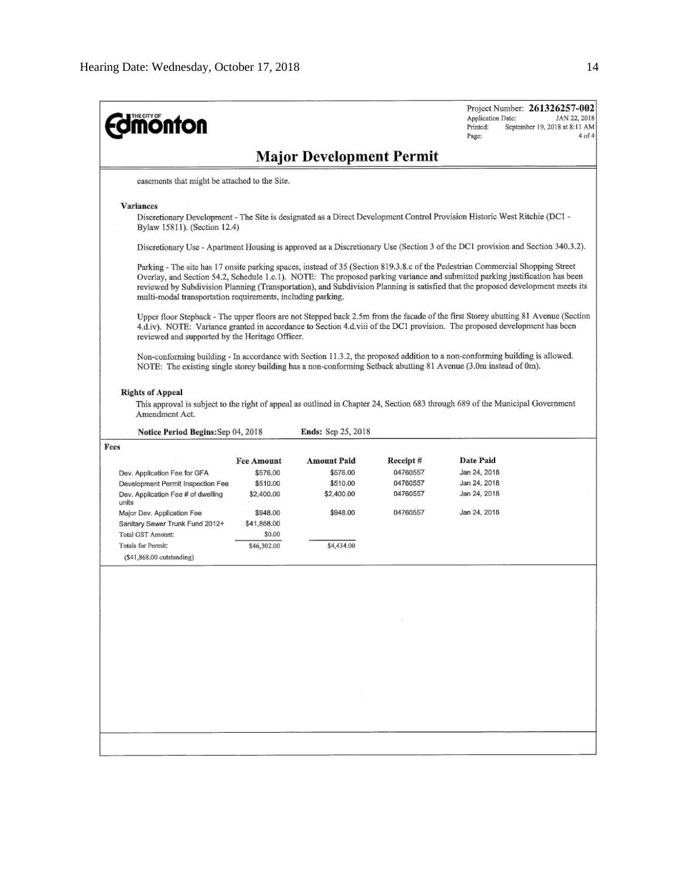| <b>monton</b>                                                                                                                                                                                                                                                                                                                                                                                                                                                     |                                               |                           |                 | Project Number: 261326257-002<br>Application Date:<br>JAN 22, 2018<br>Printed:<br>September 19, 2018 at 8:11 AM<br>$4$ of $4$<br>Page:                                                                                                                         |  |  |  |  |
|-------------------------------------------------------------------------------------------------------------------------------------------------------------------------------------------------------------------------------------------------------------------------------------------------------------------------------------------------------------------------------------------------------------------------------------------------------------------|-----------------------------------------------|---------------------------|-----------------|----------------------------------------------------------------------------------------------------------------------------------------------------------------------------------------------------------------------------------------------------------------|--|--|--|--|
| <b>Major Development Permit</b>                                                                                                                                                                                                                                                                                                                                                                                                                                   |                                               |                           |                 |                                                                                                                                                                                                                                                                |  |  |  |  |
|                                                                                                                                                                                                                                                                                                                                                                                                                                                                   | easements that might be attached to the Site. |                           |                 |                                                                                                                                                                                                                                                                |  |  |  |  |
| <b>Variances</b><br>Discretionary Development - The Site is designated as a Direct Development Control Provision Historic West Ritchie (DC1 -<br>Bylaw 15811). (Section 12.4)                                                                                                                                                                                                                                                                                     |                                               |                           |                 |                                                                                                                                                                                                                                                                |  |  |  |  |
| Discretionary Use - Apartment Housing is approved as a Discretionary Use (Section 3 of the DC1 provision and Section 340.3.2).                                                                                                                                                                                                                                                                                                                                    |                                               |                           |                 |                                                                                                                                                                                                                                                                |  |  |  |  |
| Parking - The site has 17 onsite parking spaces, instead of 35 (Section 819.3.8.c of the Pedestrian Commercial Shopping Street<br>Overlay, and Section 54.2, Schedule 1.c.1). NOTE: The proposed parking variance and submitted parking justification has been<br>reviewed by Subdivision Planning (Transportation), and Subdivision Planning is satisfied that the proposed development meets its<br>multi-modal transportation requirements, including parking. |                                               |                           |                 |                                                                                                                                                                                                                                                                |  |  |  |  |
| reviewed and supported by the Heritage Officer.                                                                                                                                                                                                                                                                                                                                                                                                                   |                                               |                           |                 | Upper floor Stepback - The upper floors are not Stepped back 2.5m from the facade of the first Storey abutting 81 Avenue (Section<br>4.d.iv). NOTE: Variance granted in accordance to Section 4.d.viii of the DC1 provision. The proposed development has been |  |  |  |  |
|                                                                                                                                                                                                                                                                                                                                                                                                                                                                   |                                               |                           |                 | Non-conforming building - In accordance with Section 11.3.2, the proposed addition to a non-conforming building is allowed.<br>NOTE: The existing single storey building has a non-conforming Setback abutting 81 Avenue (3.0m instead of 0m).                 |  |  |  |  |
| <b>Rights of Appeal</b><br>Amendment Act.<br>Notice Period Begins: Sep 04, 2018                                                                                                                                                                                                                                                                                                                                                                                   |                                               | <b>Ends:</b> Sep 25, 2018 |                 | This approval is subject to the right of appeal as outlined in Chapter 24, Section 683 through 689 of the Municipal Government                                                                                                                                 |  |  |  |  |
| Fees                                                                                                                                                                                                                                                                                                                                                                                                                                                              |                                               |                           |                 |                                                                                                                                                                                                                                                                |  |  |  |  |
|                                                                                                                                                                                                                                                                                                                                                                                                                                                                   | <b>Fee Amount</b>                             | Amount Paid               | Receipt#        | Date Paid                                                                                                                                                                                                                                                      |  |  |  |  |
| Dev. Application Fee for GFA                                                                                                                                                                                                                                                                                                                                                                                                                                      | \$576.00                                      | \$576.00                  | 04760557        | Jan 24, 2018                                                                                                                                                                                                                                                   |  |  |  |  |
| Development Permit Inspection Fee                                                                                                                                                                                                                                                                                                                                                                                                                                 | \$510.00                                      | \$510.00                  | 04760557        | Jan 24, 2018                                                                                                                                                                                                                                                   |  |  |  |  |
| Dev. Application Fee # of dwelling<br>units                                                                                                                                                                                                                                                                                                                                                                                                                       | \$2,400.00                                    | \$2,400.00                | 04760557        | Jan 24, 2018                                                                                                                                                                                                                                                   |  |  |  |  |
| Major Dev. Application Fee                                                                                                                                                                                                                                                                                                                                                                                                                                        | \$948.00                                      | \$948.00                  | 04760557        | Jan 24, 2018                                                                                                                                                                                                                                                   |  |  |  |  |
| Sanitary Sewer Trunk Fund 2012+                                                                                                                                                                                                                                                                                                                                                                                                                                   | \$41,868.00                                   |                           |                 |                                                                                                                                                                                                                                                                |  |  |  |  |
| Total GST Amount:                                                                                                                                                                                                                                                                                                                                                                                                                                                 | \$0.00                                        |                           |                 |                                                                                                                                                                                                                                                                |  |  |  |  |
| Totals for Permit:                                                                                                                                                                                                                                                                                                                                                                                                                                                | \$46,302.00                                   | \$4,434.00                |                 |                                                                                                                                                                                                                                                                |  |  |  |  |
| $($ \$41,868.00 outstanding $)$                                                                                                                                                                                                                                                                                                                                                                                                                                   |                                               |                           |                 |                                                                                                                                                                                                                                                                |  |  |  |  |
|                                                                                                                                                                                                                                                                                                                                                                                                                                                                   |                                               |                           |                 |                                                                                                                                                                                                                                                                |  |  |  |  |
|                                                                                                                                                                                                                                                                                                                                                                                                                                                                   |                                               |                           |                 |                                                                                                                                                                                                                                                                |  |  |  |  |
|                                                                                                                                                                                                                                                                                                                                                                                                                                                                   |                                               |                           |                 |                                                                                                                                                                                                                                                                |  |  |  |  |
|                                                                                                                                                                                                                                                                                                                                                                                                                                                                   |                                               |                           | $\sim 10^{-11}$ |                                                                                                                                                                                                                                                                |  |  |  |  |
|                                                                                                                                                                                                                                                                                                                                                                                                                                                                   |                                               |                           |                 |                                                                                                                                                                                                                                                                |  |  |  |  |
|                                                                                                                                                                                                                                                                                                                                                                                                                                                                   |                                               |                           |                 |                                                                                                                                                                                                                                                                |  |  |  |  |
|                                                                                                                                                                                                                                                                                                                                                                                                                                                                   |                                               |                           |                 |                                                                                                                                                                                                                                                                |  |  |  |  |
|                                                                                                                                                                                                                                                                                                                                                                                                                                                                   |                                               |                           |                 |                                                                                                                                                                                                                                                                |  |  |  |  |
|                                                                                                                                                                                                                                                                                                                                                                                                                                                                   |                                               |                           |                 |                                                                                                                                                                                                                                                                |  |  |  |  |
|                                                                                                                                                                                                                                                                                                                                                                                                                                                                   |                                               | $\sim$ 100 $\mu$          |                 |                                                                                                                                                                                                                                                                |  |  |  |  |
|                                                                                                                                                                                                                                                                                                                                                                                                                                                                   |                                               |                           |                 |                                                                                                                                                                                                                                                                |  |  |  |  |
|                                                                                                                                                                                                                                                                                                                                                                                                                                                                   |                                               |                           |                 |                                                                                                                                                                                                                                                                |  |  |  |  |
|                                                                                                                                                                                                                                                                                                                                                                                                                                                                   |                                               |                           |                 |                                                                                                                                                                                                                                                                |  |  |  |  |
|                                                                                                                                                                                                                                                                                                                                                                                                                                                                   |                                               |                           |                 |                                                                                                                                                                                                                                                                |  |  |  |  |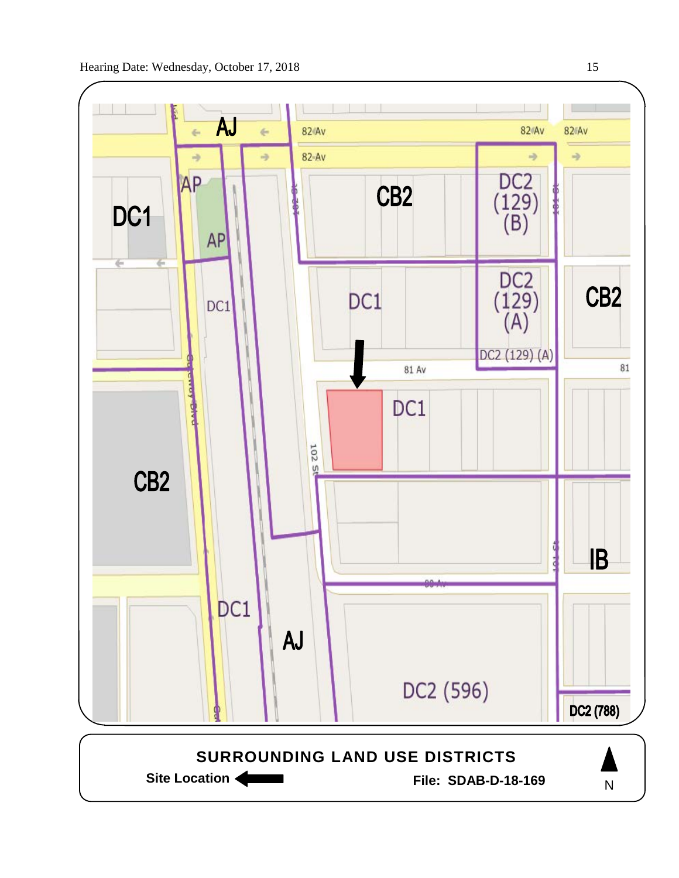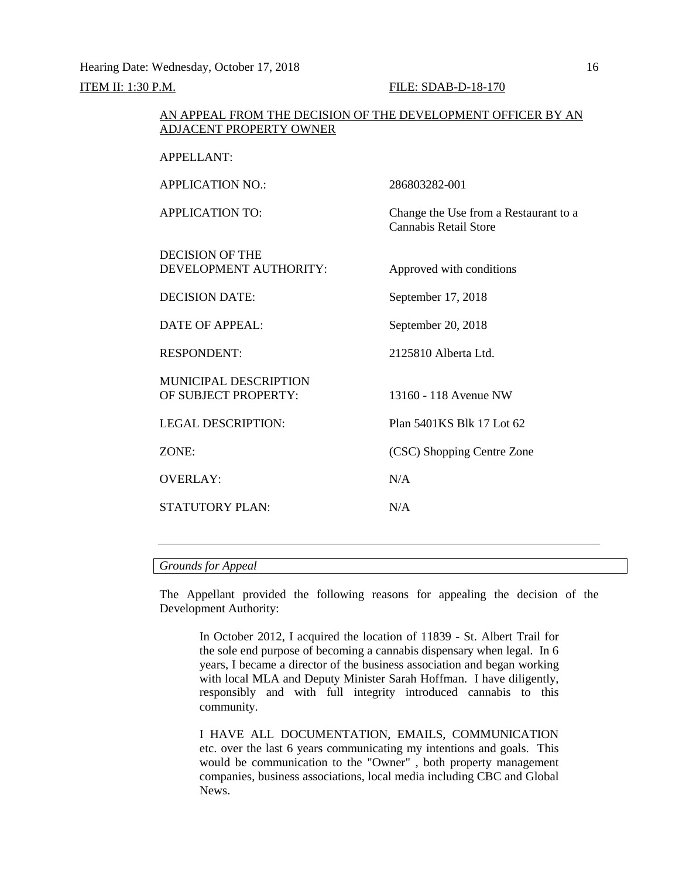Hearing Date: Wednesday, October 17, 2018 16

## **ITEM II: 1:30 P.M. FILE: SDAB-D-18-170**

## AN APPEAL FROM THE DECISION OF THE DEVELOPMENT OFFICER BY AN ADJACENT PROPERTY OWNER

| APPELLANT:                                    |                                                                       |
|-----------------------------------------------|-----------------------------------------------------------------------|
| <b>APPLICATION NO:</b>                        | 286803282-001                                                         |
| <b>APPLICATION TO:</b>                        | Change the Use from a Restaurant to a<br><b>Cannabis Retail Store</b> |
| DECISION OF THE<br>DEVELOPMENT AUTHORITY:     | Approved with conditions                                              |
| <b>DECISION DATE:</b>                         | September 17, 2018                                                    |
| DATE OF APPEAL:                               | September 20, 2018                                                    |
| <b>RESPONDENT:</b>                            | 2125810 Alberta Ltd.                                                  |
| MUNICIPAL DESCRIPTION<br>OF SUBJECT PROPERTY: | 13160 - 118 Avenue NW                                                 |
| LEGAL DESCRIPTION:                            | Plan 5401KS Blk 17 Lot 62                                             |
| ZONE:                                         | (CSC) Shopping Centre Zone                                            |
| <b>OVERLAY:</b>                               | N/A                                                                   |
| <b>STATUTORY PLAN:</b>                        | N/A                                                                   |
|                                               |                                                                       |

*Grounds for Appeal*

The Appellant provided the following reasons for appealing the decision of the Development Authority:

In October 2012, I acquired the location of 11839 - St. Albert Trail for the sole end purpose of becoming a cannabis dispensary when legal. In 6 years, I became a director of the business association and began working with local MLA and Deputy Minister Sarah Hoffman. I have diligently, responsibly and with full integrity introduced cannabis to this community.

I HAVE ALL DOCUMENTATION, EMAILS, COMMUNICATION etc. over the last 6 years communicating my intentions and goals. This would be communication to the "Owner" , both property management companies, business associations, local media including CBC and Global News.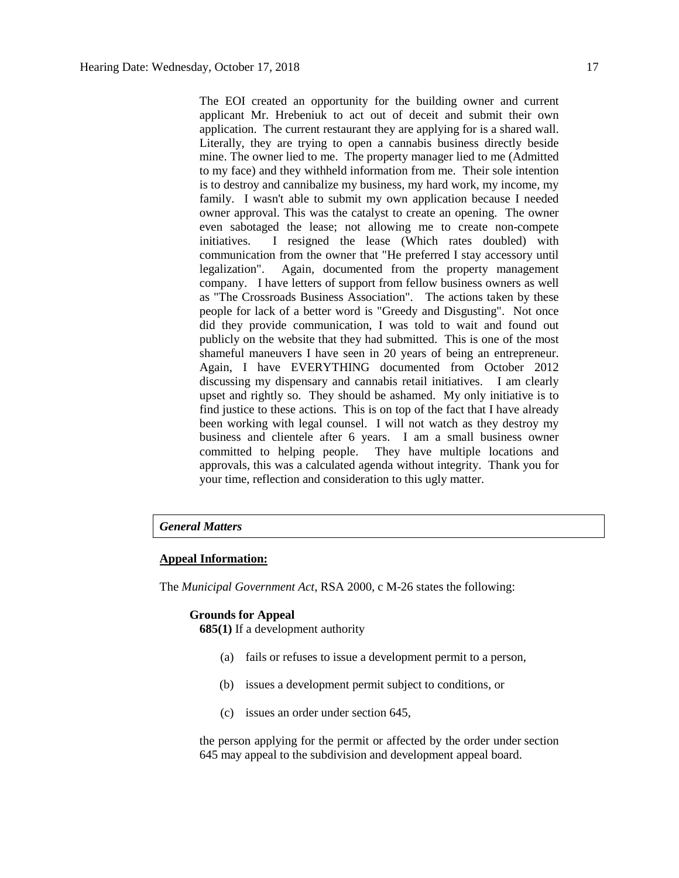The EOI created an opportunity for the building owner and current applicant Mr. Hrebeniuk to act out of deceit and submit their own application. The current restaurant they are applying for is a shared wall. Literally, they are trying to open a cannabis business directly beside mine. The owner lied to me. The property manager lied to me (Admitted to my face) and they withheld information from me. Their sole intention is to destroy and cannibalize my business, my hard work, my income, my family. I wasn't able to submit my own application because I needed owner approval. This was the catalyst to create an opening. The owner even sabotaged the lease; not allowing me to create non-compete initiatives. I resigned the lease (Which rates doubled) with communication from the owner that "He preferred I stay accessory until<br>legalization". Again, documented from the property management Again, documented from the property management company. I have letters of support from fellow business owners as well as "The Crossroads Business Association". The actions taken by these people for lack of a better word is "Greedy and Disgusting". Not once did they provide communication, I was told to wait and found out publicly on the website that they had submitted. This is one of the most shameful maneuvers I have seen in 20 years of being an entrepreneur. Again, I have EVERYTHING documented from October 2012 discussing my dispensary and cannabis retail initiatives. I am clearly upset and rightly so. They should be ashamed. My only initiative is to find justice to these actions. This is on top of the fact that I have already been working with legal counsel. I will not watch as they destroy my business and clientele after 6 years. I am a small business owner committed to helping people. They have multiple locations and approvals, this was a calculated agenda without integrity. Thank you for your time, reflection and consideration to this ugly matter.

#### *General Matters*

## **Appeal Information:**

The *Municipal Government Act*, RSA 2000, c M-26 states the following:

#### **Grounds for Appeal**

**685(1)** If a development authority

- (a) fails or refuses to issue a development permit to a person,
- (b) issues a development permit subject to conditions, or
- (c) issues an order under section 645,

the person applying for the permit or affected by the order under section 645 may appeal to the subdivision and development appeal board.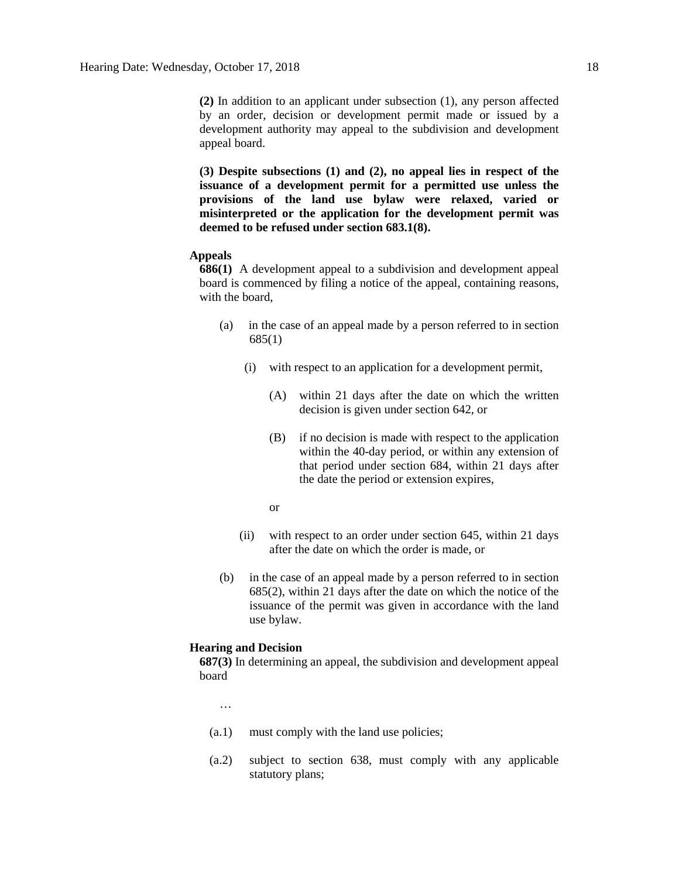**(2)** In addition to an applicant under subsection (1), any person affected by an order, decision or development permit made or issued by a development authority may appeal to the subdivision and development appeal board.

**(3) Despite subsections (1) and (2), no appeal lies in respect of the issuance of a development permit for a permitted use unless the provisions of the land use bylaw were relaxed, varied or misinterpreted or the application for the development permit was deemed to be refused under section 683.1(8).**

## **Appeals**

**686(1)** A development appeal to a subdivision and development appeal board is commenced by filing a notice of the appeal, containing reasons, with the board,

- (a) in the case of an appeal made by a person referred to in section 685(1)
	- (i) with respect to an application for a development permit,
		- (A) within 21 days after the date on which the written decision is given under section 642, or
		- (B) if no decision is made with respect to the application within the 40-day period, or within any extension of that period under section 684, within 21 days after the date the period or extension expires,
		- or
	- (ii) with respect to an order under section 645, within 21 days after the date on which the order is made, or
- (b) in the case of an appeal made by a person referred to in section 685(2), within 21 days after the date on which the notice of the issuance of the permit was given in accordance with the land use bylaw.

#### **Hearing and Decision**

**687(3)** In determining an appeal, the subdivision and development appeal board

…

- (a.1) must comply with the land use policies;
- (a.2) subject to section 638, must comply with any applicable statutory plans;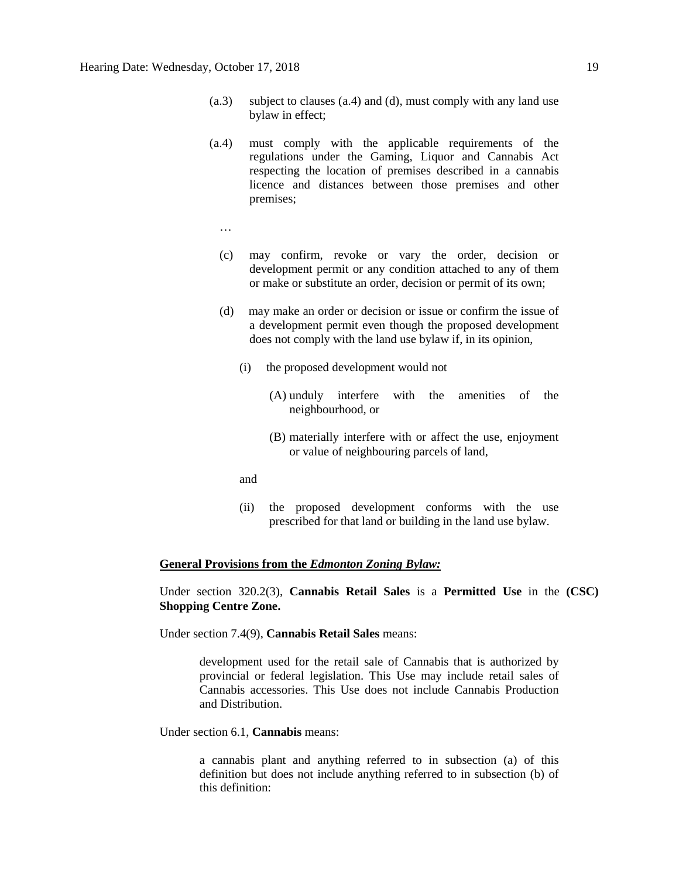- (a.3) subject to clauses (a.4) and (d), must comply with any land use bylaw in effect;
- (a.4) must comply with the applicable requirements of the regulations under the Gaming, Liquor and Cannabis Act respecting the location of premises described in a cannabis licence and distances between those premises and other premises;
	- …
	- (c) may confirm, revoke or vary the order, decision or development permit or any condition attached to any of them or make or substitute an order, decision or permit of its own;
	- (d) may make an order or decision or issue or confirm the issue of a development permit even though the proposed development does not comply with the land use bylaw if, in its opinion,
		- (i) the proposed development would not
			- (A) unduly interfere with the amenities of the neighbourhood, or
			- (B) materially interfere with or affect the use, enjoyment or value of neighbouring parcels of land,
		- and
		- (ii) the proposed development conforms with the use prescribed for that land or building in the land use bylaw.

## **General Provisions from the** *Edmonton Zoning Bylaw:*

Under section 320.2(3), **Cannabis Retail Sales** is a **Permitted Use** in the **(CSC) Shopping Centre Zone.**

Under section 7.4(9), **Cannabis Retail Sales** means:

development used for the retail sale of Cannabis that is authorized by provincial or federal legislation. This Use may include retail sales of Cannabis accessories. This Use does not include Cannabis Production and Distribution.

Under section 6.1, **Cannabis** means:

a cannabis plant and anything referred to in subsection (a) of this definition but does not include anything referred to in subsection (b) of this definition: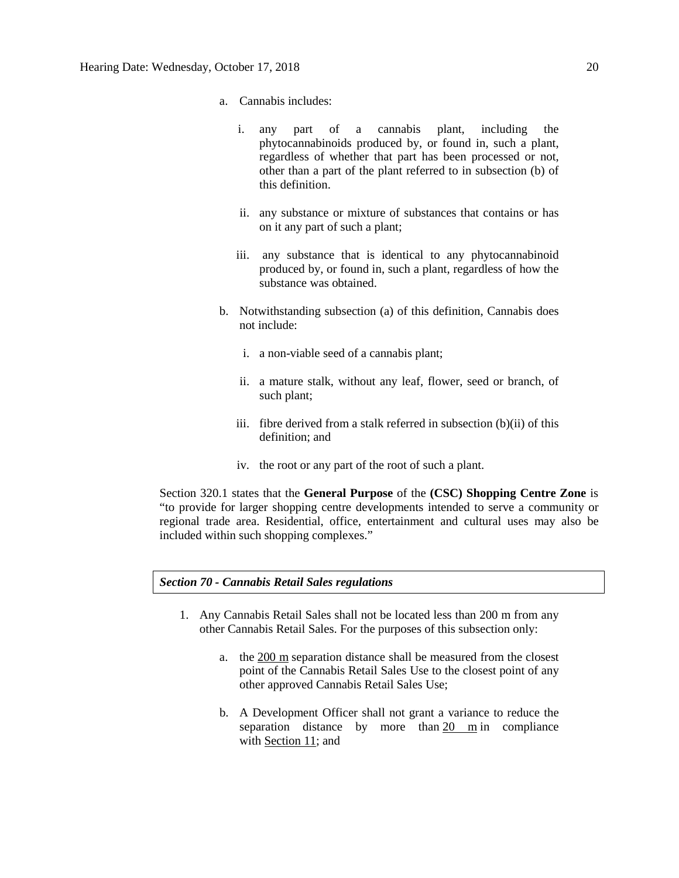- a. Cannabis includes:
	- i. any part of a cannabis plant, including the phytocannabinoids produced by, or found in, such a plant, regardless of whether that part has been processed or not, other than a part of the plant referred to in subsection (b) of this definition.
	- ii. any substance or mixture of substances that contains or has on it any part of such a plant;
	- iii. any substance that is identical to any phytocannabinoid produced by, or found in, such a plant, regardless of how the substance was obtained.
- b. Notwithstanding subsection (a) of this definition, Cannabis does not include:
	- i. a non-viable seed of a cannabis plant;
	- ii. a mature stalk, without any leaf, flower, seed or branch, of such plant;
	- iii. fibre derived from a stalk referred in subsection (b)(ii) of this definition; and
	- iv. the root or any part of the root of such a plant.

Section 320.1 states that the **General Purpose** of the **(CSC) Shopping Centre Zone** is "to provide for larger shopping centre developments intended to serve a community or regional trade area. Residential, office, entertainment and cultural uses may also be included within such shopping complexes."

## *Section 70 - Cannabis Retail Sales regulations*

- 1. Any Cannabis Retail Sales shall not be located less than 200 m from any other Cannabis Retail Sales. For the purposes of this subsection only:
	- a. the [200 m](javascript:void(0);) separation distance shall be measured from the closest point of the Cannabis Retail Sales Use to the closest point of any other approved Cannabis Retail Sales Use;
	- b. A Development Officer shall not grant a variance to reduce the separation distance by more than [20 m](javascript:void(0);) in compliance with [Section 11;](https://webdocs.edmonton.ca/InfraPlan/zoningbylaw/ZoningBylaw/Part1/Administrative/11__Authority_and_Responsibility_of_the_Development_Officer.htm) and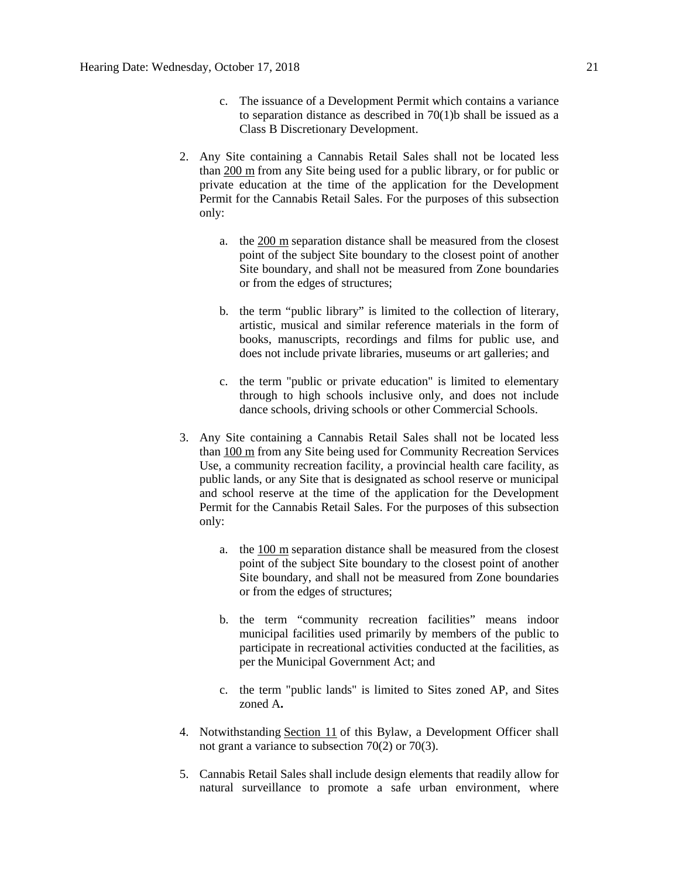- c. The issuance of a Development Permit which contains a variance to separation distance as described in  $70(1)$ b shall be issued as a Class B Discretionary Development.
- 2. Any Site containing a Cannabis Retail Sales shall not be located less than [200 m](javascript:void(0);) from any Site being used for a public library, or for public or private education at the time of the application for the Development Permit for the Cannabis Retail Sales. For the purposes of this subsection only:
	- a. the [200 m](javascript:void(0);) separation distance shall be measured from the closest point of the subject Site boundary to the closest point of another Site boundary, and shall not be measured from Zone boundaries or from the edges of structures;
	- b. the term "public library" is limited to the collection of literary, artistic, musical and similar reference materials in the form of books, manuscripts, recordings and films for public use, and does not include private libraries, museums or art galleries; and
	- c. the term "public or private education" is limited to elementary through to high schools inclusive only, and does not include dance schools, driving schools or other Commercial Schools.
- 3. Any Site containing a Cannabis Retail Sales shall not be located less than [100 m](javascript:void(0);) from any Site being used for Community Recreation Services Use, a community recreation facility, a provincial health care facility, as public lands, or any Site that is designated as school reserve or municipal and school reserve at the time of the application for the Development Permit for the Cannabis Retail Sales. For the purposes of this subsection only:
	- a. the [100 m](javascript:void(0);) separation distance shall be measured from the closest point of the subject Site boundary to the closest point of another Site boundary, and shall not be measured from Zone boundaries or from the edges of structures;
	- b. the term "community recreation facilities" means indoor municipal facilities used primarily by members of the public to participate in recreational activities conducted at the facilities, as per the Municipal Government Act; and
	- c. the term "public lands" is limited to Sites zoned AP, and Sites zoned A**.**
- 4. Notwithstanding [Section 11](https://webdocs.edmonton.ca/InfraPlan/zoningbylaw/ZoningBylaw/Part1/Administrative/11__Authority_and_Responsibility_of_the_Development_Officer.htm) of this Bylaw, a Development Officer shall not grant a variance to subsection 70(2) or 70(3).
- 5. Cannabis Retail Sales shall include design elements that readily allow for natural surveillance to promote a safe urban environment, where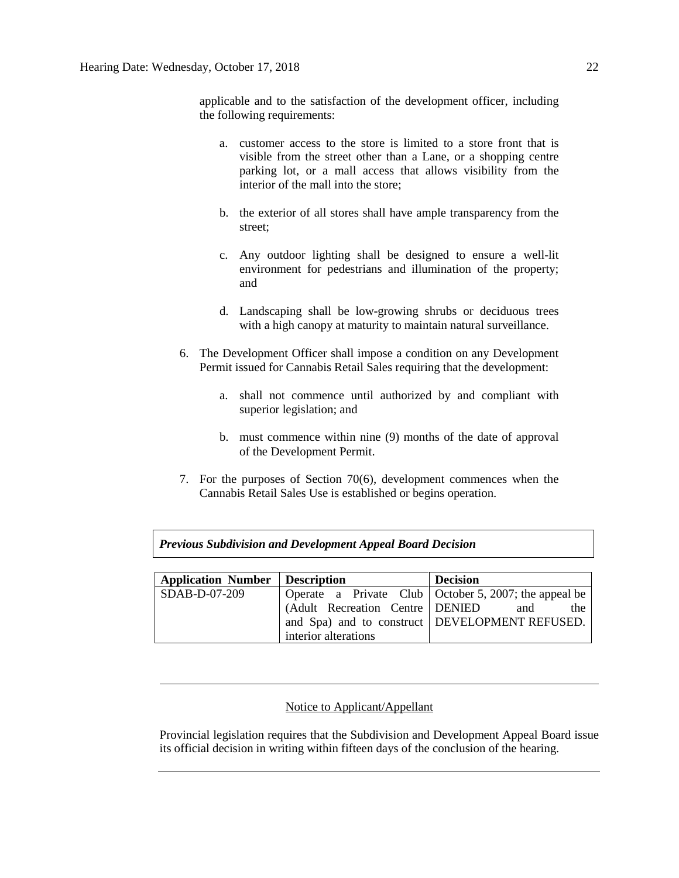applicable and to the satisfaction of the development officer, including the following requirements:

- a. customer access to the store is limited to a store front that is visible from the street other than a Lane, or a shopping centre parking lot, or a mall access that allows visibility from the interior of the mall into the store;
- b. the exterior of all stores shall have ample transparency from the street;
- c. Any outdoor lighting shall be designed to ensure a well-lit environment for pedestrians and illumination of the property; and
- d. Landscaping shall be low-growing shrubs or deciduous trees with a high canopy at maturity to maintain natural surveillance.
- 6. The Development Officer shall impose a condition on any Development Permit issued for Cannabis Retail Sales requiring that the development:
	- a. shall not commence until authorized by and compliant with superior legislation; and
	- b. must commence within nine (9) months of the date of approval of the Development Permit.
- 7. For the purposes of Section 70(6), development commences when the Cannabis Retail Sales Use is established or begins operation.

| <b>Previous Subdivision and Development Appeal Board Decision</b> |  |
|-------------------------------------------------------------------|--|
|                                                                   |  |

| Application Number   Description |                                 | <b>Decision</b>                                       |
|----------------------------------|---------------------------------|-------------------------------------------------------|
| $SDAB-D-07-209$                  |                                 | Operate a Private Club October 5, 2007; the appeal be |
|                                  | (Adult Recreation Centre DENIED | and<br>the                                            |
|                                  |                                 | and Spa) and to construct   DEVELOPMENT REFUSED.      |
|                                  | interior alterations            |                                                       |

## Notice to Applicant/Appellant

Provincial legislation requires that the Subdivision and Development Appeal Board issue its official decision in writing within fifteen days of the conclusion of the hearing.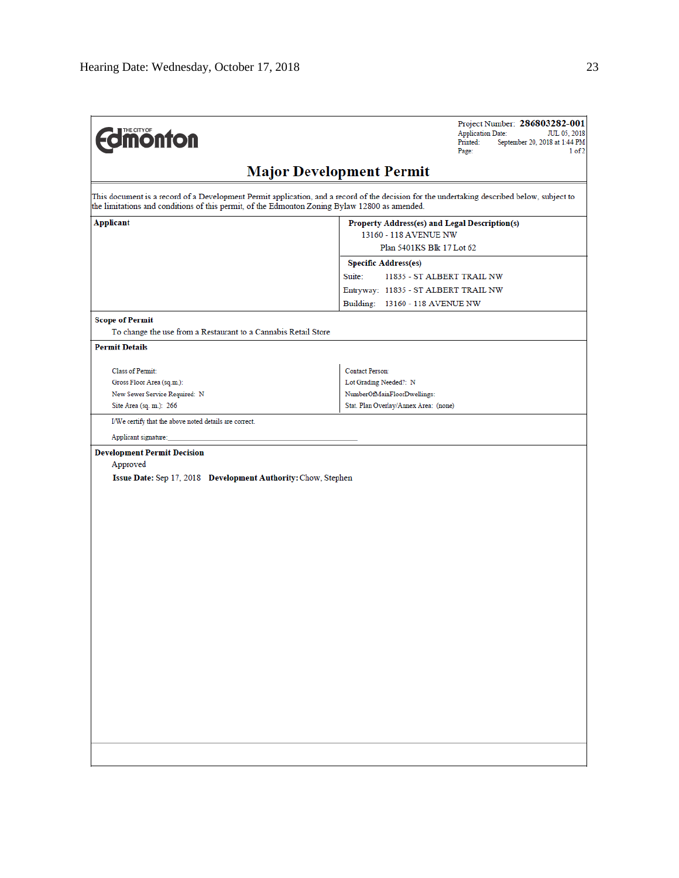| THE CITY OF<br><b><i><u>monton</u></i></b>                                                                      | Project Number: 286803282-001<br><b>Application Date:</b><br>JUL 05, 2018<br>Printed:<br>September 20, 2018 at 1:44 PM<br>Page:<br>1 of 2   |
|-----------------------------------------------------------------------------------------------------------------|---------------------------------------------------------------------------------------------------------------------------------------------|
|                                                                                                                 | <b>Major Development Permit</b>                                                                                                             |
| the limitations and conditions of this permit, of the Edmonton Zoning Bylaw 12800 as amended.                   | This document is a record of a Development Permit application, and a record of the decision for the undertaking described below, subject to |
| Applicant                                                                                                       | Property Address(es) and Legal Description(s)<br>13160 - 118 AVENUE NW                                                                      |
|                                                                                                                 | Plan 5401KS Blk 17 Lot 62                                                                                                                   |
|                                                                                                                 | <b>Specific Address(es)</b>                                                                                                                 |
|                                                                                                                 | Suite:<br>11835 - ST ALBERT TRAIL NW                                                                                                        |
|                                                                                                                 | Entryway: 11835 - ST ALBERT TRAIL NW                                                                                                        |
|                                                                                                                 | Building: 13160 - 118 AVENUE NW                                                                                                             |
| <b>Scope of Permit</b><br>To change the use from a Restaurant to a Cannabis Retail Store                        |                                                                                                                                             |
|                                                                                                                 |                                                                                                                                             |
| <b>Permit Details</b>                                                                                           |                                                                                                                                             |
| <b>Class of Permit:</b>                                                                                         | <b>Contact Person:</b>                                                                                                                      |
| Gross Floor Area (sq.m.):                                                                                       | Lot Grading Needed?: N                                                                                                                      |
| New Sewer Service Required: N                                                                                   | NumberOfMainFloorDwellings:                                                                                                                 |
| Site Area (sq. m.): 266                                                                                         | Stat. Plan Overlay/Annex Area: (none)                                                                                                       |
| I/We certify that the above noted details are correct.                                                          |                                                                                                                                             |
| Applicant signature:                                                                                            |                                                                                                                                             |
| <b>Development Permit Decision</b><br>Approved<br>Issue Date: Sep 17, 2018 Development Authority: Chow, Stephen |                                                                                                                                             |
|                                                                                                                 |                                                                                                                                             |
|                                                                                                                 |                                                                                                                                             |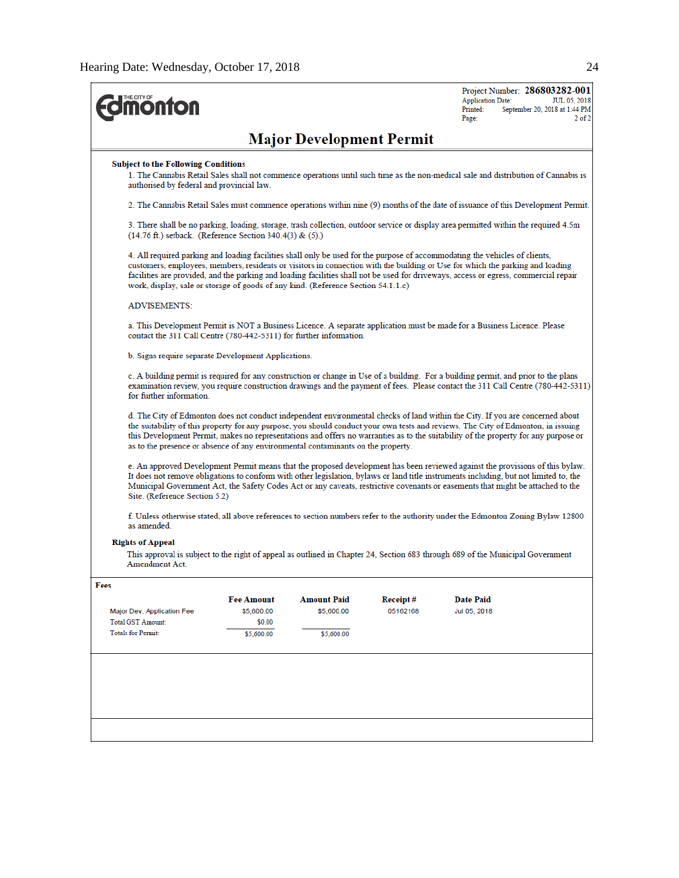| <b><i><u><u><b>MONTON</b></u></u></i></b>                                                                                                                                                                                                                                                                                                                                                                                                                                                 |                                                                                                                                                                                                            |                                 |          | <b>Application Date:</b><br>Printed:<br>Page: | Project Number: 286803282-001<br>JUL 05, 2018<br>September 20, 2018 at 1:44 PM<br>$2$ of $\widetilde{ }$                                                                                                                                                                                                                                                                                                  |  |  |  |
|-------------------------------------------------------------------------------------------------------------------------------------------------------------------------------------------------------------------------------------------------------------------------------------------------------------------------------------------------------------------------------------------------------------------------------------------------------------------------------------------|------------------------------------------------------------------------------------------------------------------------------------------------------------------------------------------------------------|---------------------------------|----------|-----------------------------------------------|-----------------------------------------------------------------------------------------------------------------------------------------------------------------------------------------------------------------------------------------------------------------------------------------------------------------------------------------------------------------------------------------------------------|--|--|--|
|                                                                                                                                                                                                                                                                                                                                                                                                                                                                                           |                                                                                                                                                                                                            | <b>Major Development Permit</b> |          |                                               |                                                                                                                                                                                                                                                                                                                                                                                                           |  |  |  |
| <b>Subject to the Following Conditions</b><br>authorised by federal and provincial law.                                                                                                                                                                                                                                                                                                                                                                                                   |                                                                                                                                                                                                            |                                 |          |                                               | 1. The Cannabis Retail Sales shall not commence operations until such time as the non-medical sale and distribution of Cannabis is                                                                                                                                                                                                                                                                        |  |  |  |
| 2. The Cannabis Retail Sales must commence operations within nine (9) months of the date of issuance of this Development Permit.                                                                                                                                                                                                                                                                                                                                                          |                                                                                                                                                                                                            |                                 |          |                                               |                                                                                                                                                                                                                                                                                                                                                                                                           |  |  |  |
|                                                                                                                                                                                                                                                                                                                                                                                                                                                                                           | 3. There shall be no parking, loading, storage, trash collection, outdoor service or display area permitted within the required 4.5m<br>$(14.76 \text{ ft.})$ setback. (Reference Section 340.4(3) & (5).) |                                 |          |                                               |                                                                                                                                                                                                                                                                                                                                                                                                           |  |  |  |
| 4. All required parking and loading facilities shall only be used for the purpose of accommodating the vehicles of clients,<br>customers, employees, members, residents or visitors in connection with the building or Use for which the parking and loading<br>facilities are provided, and the parking and loading facilities shall not be used for driveways, access or egress, commercial repair<br>work, display, sale or storage of goods of any kind. (Reference Section 54.1.1.c) |                                                                                                                                                                                                            |                                 |          |                                               |                                                                                                                                                                                                                                                                                                                                                                                                           |  |  |  |
| <b>ADVISEMENTS:</b>                                                                                                                                                                                                                                                                                                                                                                                                                                                                       |                                                                                                                                                                                                            |                                 |          |                                               |                                                                                                                                                                                                                                                                                                                                                                                                           |  |  |  |
|                                                                                                                                                                                                                                                                                                                                                                                                                                                                                           | a. This Development Permit is NOT a Business Licence. A separate application must be made for a Business Licence. Please<br>contact the 311 Call Centre (780-442-5311) for further information.            |                                 |          |                                               |                                                                                                                                                                                                                                                                                                                                                                                                           |  |  |  |
| b. Signs require separate Development Applications.                                                                                                                                                                                                                                                                                                                                                                                                                                       |                                                                                                                                                                                                            |                                 |          |                                               |                                                                                                                                                                                                                                                                                                                                                                                                           |  |  |  |
| c. A building permit is required for any construction or change in Use of a building. For a building permit, and prior to the plans<br>for further information.                                                                                                                                                                                                                                                                                                                           |                                                                                                                                                                                                            |                                 |          |                                               | examination review, you require construction drawings and the payment of fees. Please contact the 311 Call Centre (780-442-5311)                                                                                                                                                                                                                                                                          |  |  |  |
| d. The City of Edmonton does not conduct independent environmental checks of land within the City. If you are concerned about<br>as to the presence or absence of any environmental contaminants on the property.                                                                                                                                                                                                                                                                         |                                                                                                                                                                                                            |                                 |          |                                               | the suitability of this property for any purpose, you should conduct your own tests and reviews. The City of Edmonton, in issuing<br>this Development Permit, makes no representations and offers no warranties as to the suitability of the property for any purpose or                                                                                                                                  |  |  |  |
| Site. (Reference Section 5.2)                                                                                                                                                                                                                                                                                                                                                                                                                                                             |                                                                                                                                                                                                            |                                 |          |                                               | e. An approved Development Permit means that the proposed development has been reviewed against the provisions of this bylaw.<br>It does not remove obligations to conform with other legislation, bylaws or land title instruments including, but not limited to, the<br>Municipal Government Act, the Safety Codes Act or any caveats, restrictive covenants or easements that might be attached to the |  |  |  |
| as amended.                                                                                                                                                                                                                                                                                                                                                                                                                                                                               |                                                                                                                                                                                                            |                                 |          |                                               | f. Unless otherwise stated, all above references to section numbers refer to the authority under the Edmonton Zoning Bylaw 12800                                                                                                                                                                                                                                                                          |  |  |  |
| <b>Rights of Appeal</b><br>This approval is subject to the right of appeal as outlined in Chapter 24, Section 683 through 689 of the Municipal Government<br>Amendment Act                                                                                                                                                                                                                                                                                                                |                                                                                                                                                                                                            |                                 |          |                                               |                                                                                                                                                                                                                                                                                                                                                                                                           |  |  |  |
| Fees                                                                                                                                                                                                                                                                                                                                                                                                                                                                                      |                                                                                                                                                                                                            |                                 |          |                                               |                                                                                                                                                                                                                                                                                                                                                                                                           |  |  |  |
|                                                                                                                                                                                                                                                                                                                                                                                                                                                                                           | <b>Fee Amount</b>                                                                                                                                                                                          | <b>Amount Paid</b>              | Receipt# | <b>Date Paid</b>                              |                                                                                                                                                                                                                                                                                                                                                                                                           |  |  |  |
| Major Dev. Application Fee<br><b>Total GST Amount:</b>                                                                                                                                                                                                                                                                                                                                                                                                                                    | \$5,600.00<br>\$0.00                                                                                                                                                                                       | \$5,600.00                      | 05162168 | Jul 05, 2018                                  |                                                                                                                                                                                                                                                                                                                                                                                                           |  |  |  |
| <b>Totals for Permit:</b>                                                                                                                                                                                                                                                                                                                                                                                                                                                                 | \$5,600.00                                                                                                                                                                                                 | \$5,600.00                      |          |                                               |                                                                                                                                                                                                                                                                                                                                                                                                           |  |  |  |
|                                                                                                                                                                                                                                                                                                                                                                                                                                                                                           |                                                                                                                                                                                                            |                                 |          |                                               |                                                                                                                                                                                                                                                                                                                                                                                                           |  |  |  |
|                                                                                                                                                                                                                                                                                                                                                                                                                                                                                           |                                                                                                                                                                                                            |                                 |          |                                               |                                                                                                                                                                                                                                                                                                                                                                                                           |  |  |  |
|                                                                                                                                                                                                                                                                                                                                                                                                                                                                                           |                                                                                                                                                                                                            |                                 |          |                                               |                                                                                                                                                                                                                                                                                                                                                                                                           |  |  |  |
|                                                                                                                                                                                                                                                                                                                                                                                                                                                                                           |                                                                                                                                                                                                            |                                 |          |                                               |                                                                                                                                                                                                                                                                                                                                                                                                           |  |  |  |